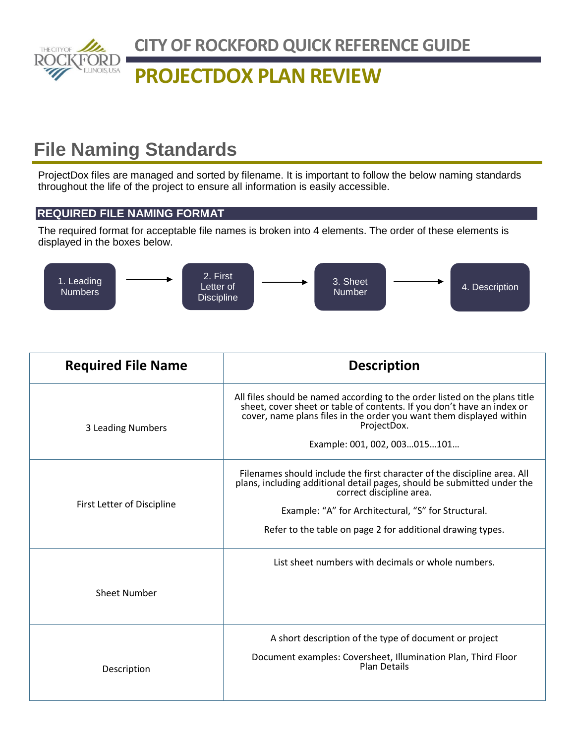

# **PROJECTDOX PLAN REVIEW**

# **File Naming Standards**

ProjectDox files are managed and sorted by filename. It is important to follow the below naming standards throughout the life of the project to ensure all information is easily accessible.

### **REQUIRED FILE NAMING FORMAT**

The required format for acceptable file names is broken into 4 elements. The order of these elements is displayed in the boxes below.



| <b>Required File Name</b>  | <b>Description</b>                                                                                                                                                                                                                                                                                   |
|----------------------------|------------------------------------------------------------------------------------------------------------------------------------------------------------------------------------------------------------------------------------------------------------------------------------------------------|
| 3 Leading Numbers          | All files should be named according to the order listed on the plans title<br>sheet, cover sheet or table of contents. If you don't have an index or<br>cover, name plans files in the order you want them displayed within<br>ProjectDox.<br>Example: 001, 002, 003015101                           |
| First Letter of Discipline | Filenames should include the first character of the discipline area. All<br>plans, including additional detail pages, should be submitted under the<br>correct discipline area.<br>Example: "A" for Architectural, "S" for Structural.<br>Refer to the table on page 2 for additional drawing types. |
| <b>Sheet Number</b>        | List sheet numbers with decimals or whole numbers.                                                                                                                                                                                                                                                   |
| Description                | A short description of the type of document or project<br>Document examples: Coversheet, Illumination Plan, Third Floor<br><b>Plan Details</b>                                                                                                                                                       |